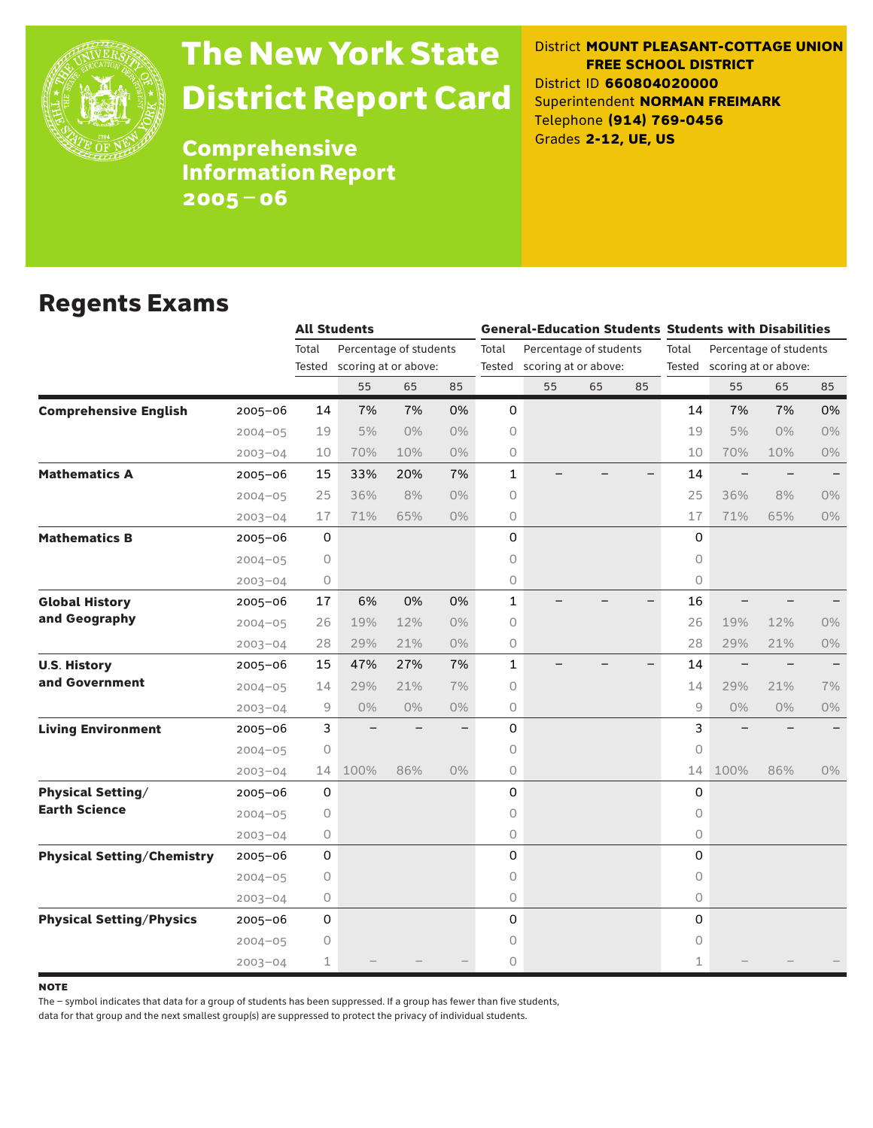

# The New York State District Report Card

District **MOUNT PLEASANT-COTTAGE UNION FREE SCHOOL DISTRICT** District ID **660804020000** Superintendent **NORMAN FREIMARK** Telephone **(914) 769-0456** Grades **2-12, UE, US**

**Comprehensive** Information Report 2005–06

#### Regents Exams

|                                   |             |             | <b>All Students</b>  |                        |       |              | <b>General-Education Students Students with Disabilities</b> |                             |    |              |                             |                          |       |  |
|-----------------------------------|-------------|-------------|----------------------|------------------------|-------|--------------|--------------------------------------------------------------|-----------------------------|----|--------------|-----------------------------|--------------------------|-------|--|
|                                   |             | Total       |                      | Percentage of students |       | Total        |                                                              | Percentage of students      |    | Total        |                             | Percentage of students   |       |  |
|                                   |             | Tested      | scoring at or above: |                        |       |              |                                                              | Tested scoring at or above: |    |              | Tested scoring at or above: |                          |       |  |
|                                   |             |             | 55                   | 65                     | 85    |              | 55                                                           | 65                          | 85 |              | 55                          | 65                       | 85    |  |
| <b>Comprehensive English</b>      | $2005 - 06$ | 14          | 7%                   | 7%                     | 0%    | 0            |                                                              |                             |    | 14           | 7%                          | 7%                       | 0%    |  |
|                                   | $2004 - 05$ | 19          | 5%                   | $0\%$                  | $0\%$ | 0            |                                                              |                             |    | 19           | 5%                          | $0\%$                    | 0%    |  |
|                                   | $2003 - 04$ | 10          | 70%                  | 10%                    | $0\%$ | 0            |                                                              |                             |    | 10           | 70%                         | 10%                      | 0%    |  |
| <b>Mathematics A</b>              | 2005-06     | 15          | 33%                  | 20%                    | 7%    | $\mathbf{1}$ |                                                              |                             |    | 14           | $\qquad \qquad -$           |                          |       |  |
|                                   | $2004 - 05$ | 25          | 36%                  | 8%                     | $0\%$ | 0            |                                                              |                             |    | 25           | 36%                         | 8%                       | $0\%$ |  |
|                                   | $2003 - 04$ | 17          | 71%                  | 65%                    | $0\%$ | 0            |                                                              |                             |    | 17           | 71%                         | 65%                      | 0%    |  |
| <b>Mathematics B</b>              | $2005 - 06$ | $\mathsf O$ |                      |                        |       | 0            |                                                              |                             |    | $\Omega$     |                             |                          |       |  |
|                                   | $2004 - 05$ | 0           |                      |                        |       | 0            |                                                              |                             |    | $\circ$      |                             |                          |       |  |
|                                   | $2003 - 04$ | 0           |                      |                        |       | 0            |                                                              |                             |    | $\circ$      |                             |                          |       |  |
| <b>Global History</b>             | 2005-06     | 17          | 6%                   | 0%                     | 0%    | 1            |                                                              |                             |    | 16           |                             |                          |       |  |
| and Geography                     | $2004 - 05$ | 26          | 19%                  | 12%                    | $0\%$ | 0            |                                                              |                             |    | 26           | 19%                         | 12%                      | 0%    |  |
|                                   | $2003 - 04$ | 28          | 29%                  | 21%                    | $0\%$ | 0            |                                                              |                             |    | 28           | 29%                         | 21%                      | 0%    |  |
| <b>U.S. History</b>               | 2005-06     | 15          | 47%                  | 27%                    | 7%    | $\mathbf 1$  |                                                              |                             |    | 14           | $\qquad \qquad -$           | $\overline{\phantom{m}}$ |       |  |
| and Government                    | $2004 - 05$ | 14          | 29%                  | 21%                    | 7%    | 0            |                                                              |                             |    | 14           | 29%                         | 21%                      | 7%    |  |
|                                   | $2003 - 04$ | 9           | $0\%$                | $0\%$                  | $0\%$ | 0            |                                                              |                             |    | 9            | $0\%$                       | $0\%$                    | 0%    |  |
| <b>Living Environment</b>         | $2005 - 06$ | 3           |                      |                        |       | 0            |                                                              |                             |    | 3            |                             |                          |       |  |
|                                   | $2004 - 05$ | 0           |                      |                        |       | 0            |                                                              |                             |    | $\circ$      |                             |                          |       |  |
|                                   | $2003 - 04$ | 14          | 100%                 | 86%                    | $0\%$ | 0            |                                                              |                             |    | 14           | 100%                        | 86%                      | 0%    |  |
| <b>Physical Setting/</b>          | 2005-06     | 0           |                      |                        |       | 0            |                                                              |                             |    | 0            |                             |                          |       |  |
| <b>Earth Science</b>              | $2004 - 05$ | 0           |                      |                        |       | 0            |                                                              |                             |    | $\Omega$     |                             |                          |       |  |
|                                   | $2003 - 04$ | 0           |                      |                        |       | 0            |                                                              |                             |    | $\circ$      |                             |                          |       |  |
| <b>Physical Setting/Chemistry</b> | 2005-06     | 0           |                      |                        |       | 0            |                                                              |                             |    | 0            |                             |                          |       |  |
|                                   | $2004 - 05$ | 0           |                      |                        |       | 0            |                                                              |                             |    | $\circ$      |                             |                          |       |  |
|                                   | $2003 - 04$ | 0           |                      |                        |       | 0            |                                                              |                             |    | $\circ$      |                             |                          |       |  |
| <b>Physical Setting/Physics</b>   | $2005 - 06$ | 0           |                      |                        |       | 0            |                                                              |                             |    | $\Omega$     |                             |                          |       |  |
|                                   | $2004 - 05$ | 0           |                      |                        |       | 0            |                                                              |                             |    | 0            |                             |                          |       |  |
|                                   | $2003 - 04$ | 1           |                      |                        |       | 0            |                                                              |                             |    | $\mathbf{1}$ |                             |                          |       |  |

**NOTE** 

The – symbol indicates that data for a group of students has been suppressed. If a group has fewer than five students,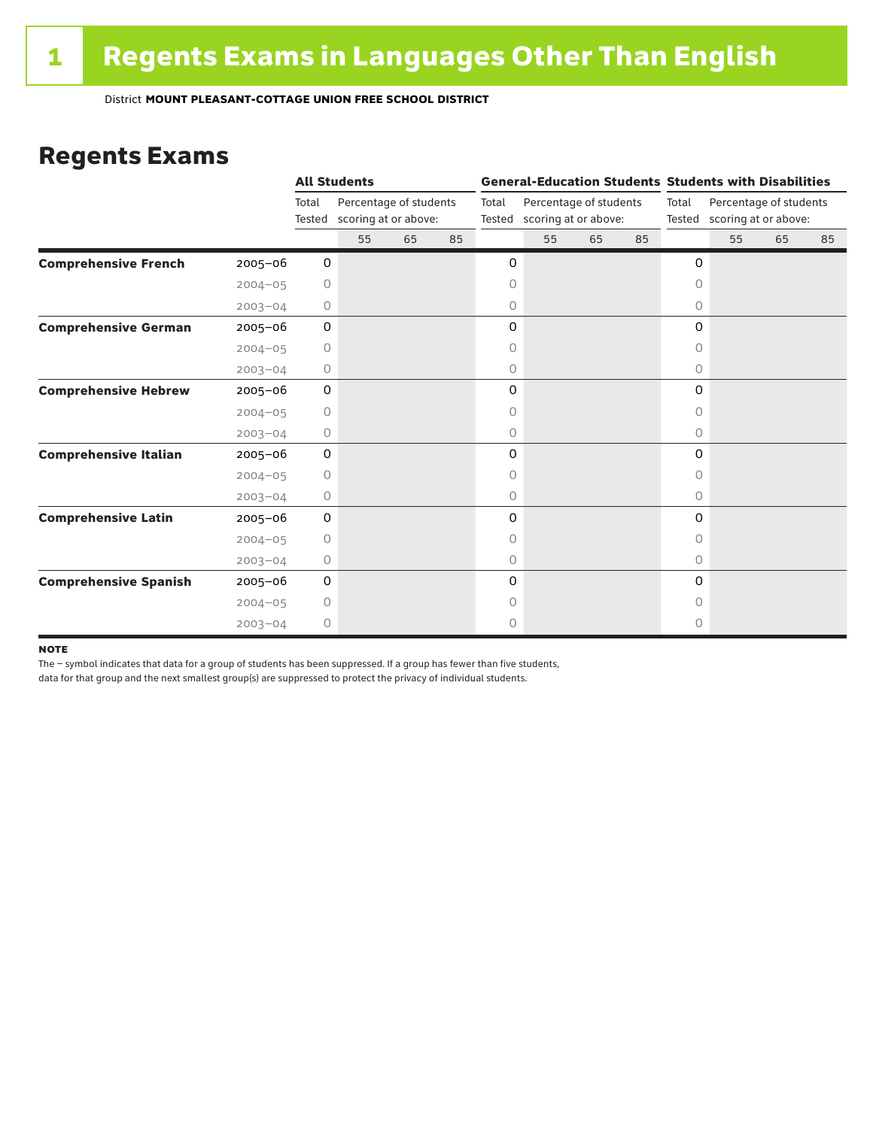#### Regents Exams

|                              |             |              | <b>All Students</b>                                   |    |    |       |                             |                        |  |         | <b>General-Education Students Students with Disabilities</b> |    |  |  |  |
|------------------------------|-------------|--------------|-------------------------------------------------------|----|----|-------|-----------------------------|------------------------|--|---------|--------------------------------------------------------------|----|--|--|--|
|                              |             | Total        | Percentage of students<br>Tested scoring at or above: |    |    | Total | Tested scoring at or above: | Percentage of students |  | Total   | Percentage of students<br>Tested scoring at or above:        |    |  |  |  |
|                              |             |              | 55                                                    | 65 | 85 |       | 55                          | 65<br>85               |  | 55      | 65                                                           | 85 |  |  |  |
| <b>Comprehensive French</b>  | $2005 - 06$ | 0            |                                                       |    |    | 0     |                             |                        |  | 0       |                                                              |    |  |  |  |
|                              | $2004 - 05$ | 0            |                                                       |    |    | 0     |                             |                        |  | 0       |                                                              |    |  |  |  |
|                              | $2003 - 04$ | 0            |                                                       |    |    | 0     |                             |                        |  | 0       |                                                              |    |  |  |  |
| <b>Comprehensive German</b>  | $2005 - 06$ | 0            |                                                       |    |    | 0     |                             |                        |  | 0       |                                                              |    |  |  |  |
|                              | $2004 - 05$ | 0            |                                                       |    |    | 0     |                             |                        |  | 0       |                                                              |    |  |  |  |
|                              | $2003 - 04$ | 0            |                                                       |    |    | 0     |                             |                        |  | 0       |                                                              |    |  |  |  |
| <b>Comprehensive Hebrew</b>  | $2005 - 06$ | $\mathsf{O}$ |                                                       |    |    | 0     |                             |                        |  | 0       |                                                              |    |  |  |  |
|                              | $2004 - 05$ | $\circ$      |                                                       |    |    | 0     |                             |                        |  | 0       |                                                              |    |  |  |  |
|                              | $2003 - 04$ | 0            |                                                       |    |    | 0     |                             |                        |  | 0       |                                                              |    |  |  |  |
| <b>Comprehensive Italian</b> | $2005 - 06$ | 0            |                                                       |    |    | 0     |                             |                        |  | 0       |                                                              |    |  |  |  |
|                              | $2004 - 05$ | $\circ$      |                                                       |    |    | 0     |                             |                        |  | $\circ$ |                                                              |    |  |  |  |
|                              | $2003 - 04$ | 0            |                                                       |    |    | 0     |                             |                        |  | 0       |                                                              |    |  |  |  |
| <b>Comprehensive Latin</b>   | $2005 - 06$ | 0            |                                                       |    |    | 0     |                             |                        |  | 0       |                                                              |    |  |  |  |
|                              | $2004 - 05$ | $\circ$      |                                                       |    |    | 0     |                             |                        |  | 0       |                                                              |    |  |  |  |
|                              | $2003 - 04$ | 0            |                                                       |    |    | 0     |                             |                        |  | $\circ$ |                                                              |    |  |  |  |
| <b>Comprehensive Spanish</b> | $2005 - 06$ | $\mathsf{O}$ |                                                       |    |    | 0     |                             |                        |  | 0       |                                                              |    |  |  |  |
|                              | $2004 - 05$ | $\circ$      |                                                       |    |    | 0     |                             |                        |  | O       |                                                              |    |  |  |  |
|                              | $2003 - 04$ | 0            |                                                       |    |    | 0     |                             |                        |  | 0       |                                                              |    |  |  |  |

#### **NOTE**

The – symbol indicates that data for a group of students has been suppressed. If a group has fewer than five students,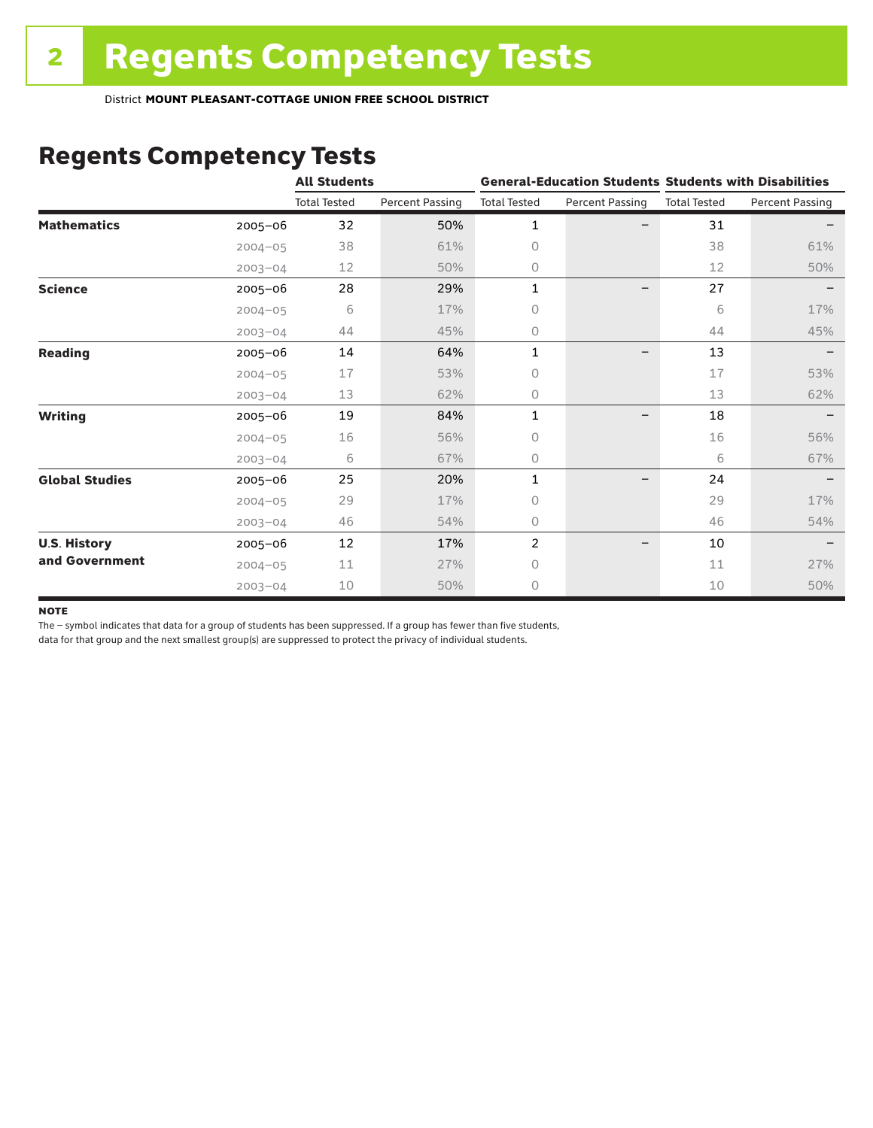## Regents Competency Tests

|                       |             | <b>All Students</b> |                        |                     |                        | <b>General-Education Students Students with Disabilities</b> |                        |  |
|-----------------------|-------------|---------------------|------------------------|---------------------|------------------------|--------------------------------------------------------------|------------------------|--|
|                       |             | <b>Total Tested</b> | <b>Percent Passing</b> | <b>Total Tested</b> | <b>Percent Passing</b> | <b>Total Tested</b>                                          | <b>Percent Passing</b> |  |
| <b>Mathematics</b>    | $2005 - 06$ | 32                  | 50%                    | 1                   |                        | 31                                                           |                        |  |
|                       | $2004 - 05$ | 38                  | 61%                    | 0                   |                        | 38                                                           | 61%                    |  |
|                       | $2003 - 04$ | 12                  | 50%                    | 0                   |                        | 12                                                           | 50%                    |  |
| <b>Science</b>        | $2005 - 06$ | 28                  | 29%                    | 1                   |                        | 27                                                           |                        |  |
|                       | $2004 - 05$ | 6                   | 17%                    | 0                   |                        | 6                                                            | 17%                    |  |
|                       | $2003 - 04$ | 44                  | 45%                    | 0                   |                        | 44                                                           | 45%                    |  |
| <b>Reading</b>        | 2005-06     | 14                  | 64%                    | 1                   | —                      | 13                                                           |                        |  |
|                       | $2004 - 05$ | 17                  | 53%                    | 0                   |                        | 17                                                           | 53%                    |  |
|                       | $2003 - 04$ | 13                  | 62%                    | 0                   |                        | 13                                                           | 62%                    |  |
| <b>Writing</b>        | 2005-06     | 19                  | 84%                    | 1                   | -                      | 18                                                           |                        |  |
|                       | $2004 - 05$ | 16                  | 56%                    | 0                   |                        | 16                                                           | 56%                    |  |
|                       | $2003 - 04$ | 6                   | 67%                    | 0                   |                        | 6                                                            | 67%                    |  |
| <b>Global Studies</b> | 2005-06     | 25                  | 20%                    | 1                   |                        | 24                                                           |                        |  |
|                       | $2004 - 05$ | 29                  | 17%                    | 0                   |                        | 29                                                           | 17%                    |  |
|                       | $2003 - 04$ | 46                  | 54%                    | 0                   |                        | 46                                                           | 54%                    |  |
| <b>U.S. History</b>   | 2005-06     | 12                  | 17%                    | $\overline{2}$      |                        | 10                                                           |                        |  |
| and Government        | $2004 - 05$ | 11                  | 27%                    | 0                   |                        | 11                                                           | 27%                    |  |
|                       | $2003 - 04$ | 10                  | 50%                    | 0                   |                        | 10                                                           | 50%                    |  |

#### **NOTE**

The – symbol indicates that data for a group of students has been suppressed. If a group has fewer than five students,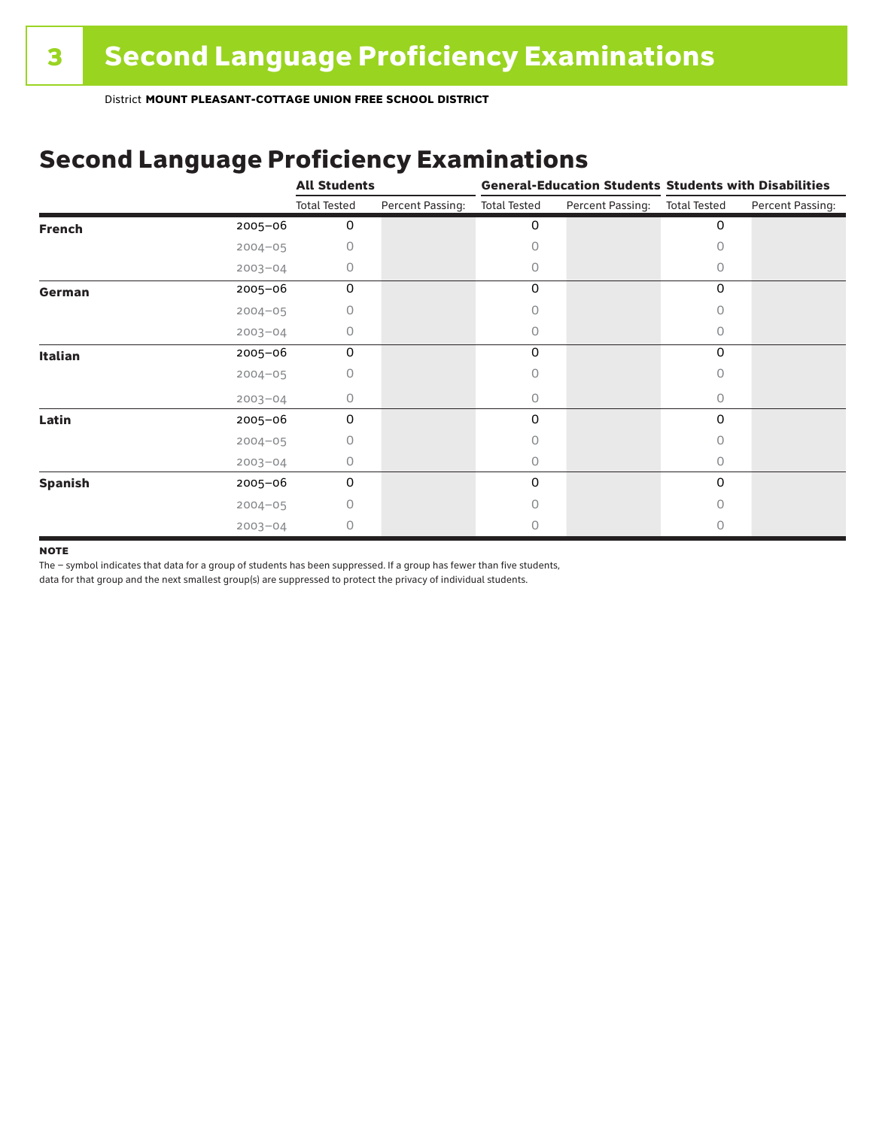# Second Language Proficiency Examinations

|                |             | <b>All Students</b> |                  | <b>General-Education Students Students with Disabilities</b> |                  |                     |                  |  |
|----------------|-------------|---------------------|------------------|--------------------------------------------------------------|------------------|---------------------|------------------|--|
|                |             | <b>Total Tested</b> | Percent Passing: | <b>Total Tested</b>                                          | Percent Passing: | <b>Total Tested</b> | Percent Passing: |  |
| <b>French</b>  | 2005-06     | 0                   |                  | 0                                                            |                  | 0                   |                  |  |
|                | $2004 - 05$ | 0                   |                  | Ω                                                            |                  |                     |                  |  |
|                | $2003 - 04$ | 0                   |                  | 0                                                            |                  | Ω                   |                  |  |
| German         | 2005-06     | 0                   |                  | 0                                                            |                  | 0                   |                  |  |
|                | $2004 - 05$ | 0                   |                  |                                                              |                  | 0                   |                  |  |
|                | $2003 - 04$ | 0                   |                  | 0                                                            |                  | 0                   |                  |  |
| <b>Italian</b> | 2005-06     | 0                   |                  | 0                                                            |                  | 0                   |                  |  |
|                | $2004 - 05$ | 0                   |                  | Ω                                                            |                  |                     |                  |  |
|                | $2003 - 04$ | 0                   |                  | 0                                                            |                  | 0                   |                  |  |
| Latin          | 2005-06     | 0                   |                  | 0                                                            |                  | 0                   |                  |  |
|                | $2004 - 05$ | 0                   |                  |                                                              |                  |                     |                  |  |
|                | $2003 - 04$ | 0                   |                  | 0                                                            |                  | 0                   |                  |  |
| <b>Spanish</b> | 2005-06     | 0                   |                  | 0                                                            |                  | 0                   |                  |  |
|                | $2004 - 05$ | 0                   |                  | Ω                                                            |                  | Ω                   |                  |  |
|                | $2003 - 04$ | 0                   |                  |                                                              |                  |                     |                  |  |

#### **NOTE**

The – symbol indicates that data for a group of students has been suppressed. If a group has fewer than five students,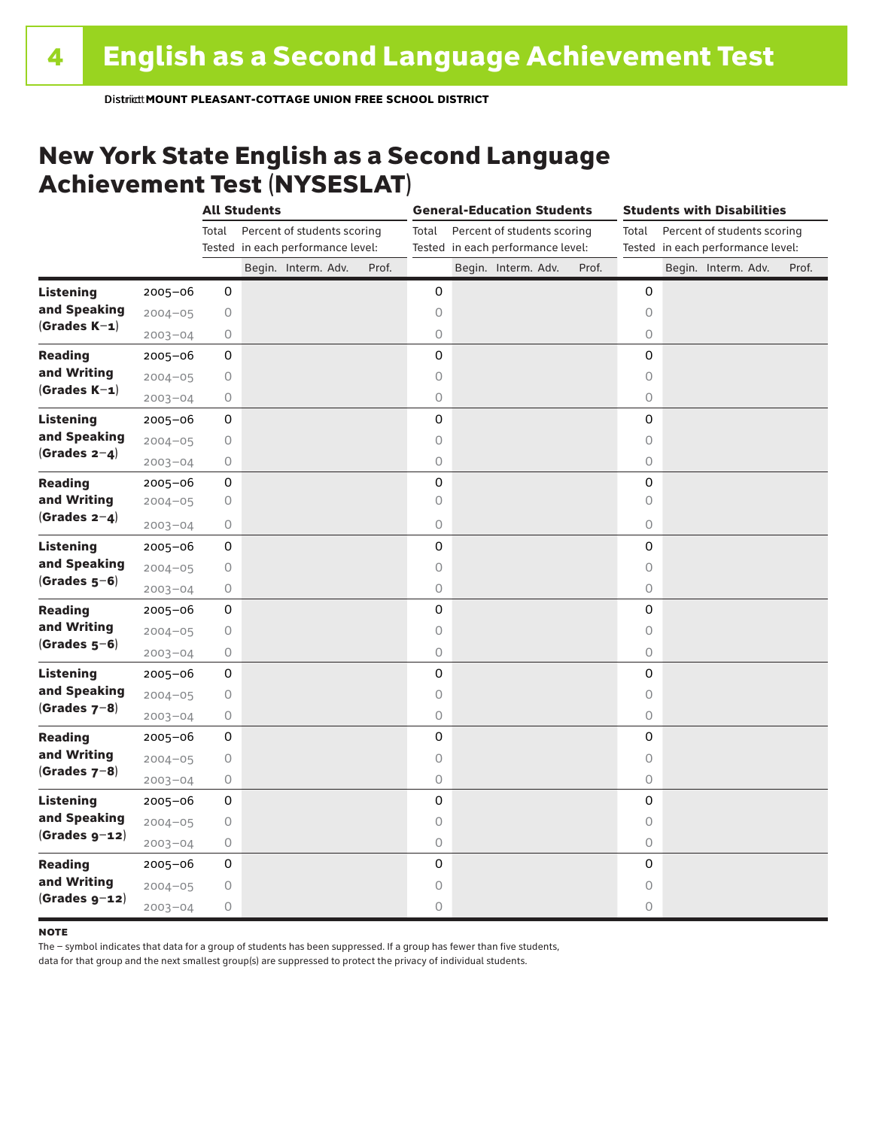#### New York State English as a Second Language Achievement Test (NYSESLAT)

|                  |             |         | <b>All Students</b> |                                                                  |       | <b>General-Education Students</b> |  |                                                                  |       | <b>Students with Disabilities</b> |  |                                                                  |       |  |
|------------------|-------------|---------|---------------------|------------------------------------------------------------------|-------|-----------------------------------|--|------------------------------------------------------------------|-------|-----------------------------------|--|------------------------------------------------------------------|-------|--|
|                  |             | Total   |                     | Percent of students scoring<br>Tested in each performance level: |       | Total                             |  | Percent of students scoring<br>Tested in each performance level: |       | Total                             |  | Percent of students scoring<br>Tested in each performance level: |       |  |
|                  |             |         |                     | Begin. Interm. Adv.                                              | Prof. |                                   |  | Begin. Interm. Adv.                                              | Prof. |                                   |  | Begin. Interm. Adv.                                              | Prof. |  |
| <b>Listening</b> | 2005-06     | 0       |                     |                                                                  |       | 0                                 |  |                                                                  |       | 0                                 |  |                                                                  |       |  |
| and Speaking     | $2004 - 05$ | 0       |                     |                                                                  |       | 0                                 |  |                                                                  |       | $\circ$                           |  |                                                                  |       |  |
| $(Grades K-1)$   | $2003 - 04$ | 0       |                     |                                                                  |       | $\circ$                           |  |                                                                  |       | 0                                 |  |                                                                  |       |  |
| <b>Reading</b>   | $2005 - 06$ | 0       |                     |                                                                  |       | 0                                 |  |                                                                  |       | 0                                 |  |                                                                  |       |  |
| and Writing      | $2004 - 05$ | 0       |                     |                                                                  |       | $\circ$                           |  |                                                                  |       | $\circ$                           |  |                                                                  |       |  |
| $(Grades K-1)$   | $2003 - 04$ | 0       |                     |                                                                  |       | $\circ$                           |  |                                                                  |       | $\circ$                           |  |                                                                  |       |  |
| <b>Listening</b> | 2005-06     | 0       |                     |                                                                  |       | 0                                 |  |                                                                  |       | 0                                 |  |                                                                  |       |  |
| and Speaking     | $2004 - 05$ | 0       |                     |                                                                  |       | $\circ$                           |  |                                                                  |       | $\circ$                           |  |                                                                  |       |  |
| (Grades $2-4$ )  | $2003 - 04$ | 0       |                     |                                                                  |       | $\bigcirc$                        |  |                                                                  |       | $\circ$                           |  |                                                                  |       |  |
| <b>Reading</b>   | 2005-06     | 0       |                     |                                                                  |       | 0                                 |  |                                                                  |       | 0                                 |  |                                                                  |       |  |
| and Writing      | $2004 - 05$ | 0       |                     |                                                                  |       | $\bigcirc$                        |  |                                                                  |       | 0                                 |  |                                                                  |       |  |
| $(Grades 2-4)$   | $2003 - 04$ | 0       |                     |                                                                  |       | 0                                 |  |                                                                  |       | 0                                 |  |                                                                  |       |  |
| <b>Listening</b> | $2005 - 06$ | 0       |                     |                                                                  |       | 0                                 |  |                                                                  |       | 0                                 |  |                                                                  |       |  |
| and Speaking     | $2004 - 05$ | 0       |                     |                                                                  |       | $\circ$                           |  |                                                                  |       | $\circ$                           |  |                                                                  |       |  |
| $(Grades 5-6)$   | $2003 - 04$ | 0       |                     |                                                                  |       | $\bigcirc$                        |  |                                                                  |       | 0                                 |  |                                                                  |       |  |
| <b>Reading</b>   | $2005 - 06$ | 0       |                     |                                                                  |       | 0                                 |  |                                                                  |       | 0                                 |  |                                                                  |       |  |
| and Writing      | $2004 - 05$ | 0       |                     |                                                                  |       | $\circ$                           |  |                                                                  |       | $\circ$                           |  |                                                                  |       |  |
| $(Grades 5-6)$   | $2003 - 04$ | 0       |                     |                                                                  |       | $\bigcirc$                        |  |                                                                  |       | 0                                 |  |                                                                  |       |  |
| <b>Listening</b> | 2005-06     | 0       |                     |                                                                  |       | 0                                 |  |                                                                  |       | 0                                 |  |                                                                  |       |  |
| and Speaking     | $2004 - 05$ | $\circ$ |                     |                                                                  |       | $\circ$                           |  |                                                                  |       | $\circ$                           |  |                                                                  |       |  |
| (Grades $7-8$ )  | $2003 - 04$ | 0       |                     |                                                                  |       | 0                                 |  |                                                                  |       | 0                                 |  |                                                                  |       |  |
| <b>Reading</b>   | $2005 - 06$ | 0       |                     |                                                                  |       | 0                                 |  |                                                                  |       | 0                                 |  |                                                                  |       |  |
| and Writing      | $2004 - 05$ | 0       |                     |                                                                  |       | $\circ$                           |  |                                                                  |       | $\circ$                           |  |                                                                  |       |  |
| $(Grades 7-8)$   | $2003 - 04$ | 0       |                     |                                                                  |       | $\bigcirc$                        |  |                                                                  |       | 0                                 |  |                                                                  |       |  |
| <b>Listening</b> | 2005-06     | 0       |                     |                                                                  |       | 0                                 |  |                                                                  |       | 0                                 |  |                                                                  |       |  |
| and Speaking     | $2004 - 05$ | 0       |                     |                                                                  |       | $\circ$                           |  |                                                                  |       | $\circ$                           |  |                                                                  |       |  |
| $(Grades g-12)$  | $2003 - 04$ | 0       |                     |                                                                  |       | $\bigcirc$                        |  |                                                                  |       | $\circ$                           |  |                                                                  |       |  |
| <b>Reading</b>   | $2005 - 06$ | 0       |                     |                                                                  |       | 0                                 |  |                                                                  |       | 0                                 |  |                                                                  |       |  |
| and Writing      | $2004 - 05$ | 0       |                     |                                                                  |       | 0                                 |  |                                                                  |       | 0                                 |  |                                                                  |       |  |
| $(Grades g-12)$  | $2003 - 04$ | 0       |                     |                                                                  |       | 0                                 |  |                                                                  |       | 0                                 |  |                                                                  |       |  |

#### **NOTE**

The – symbol indicates that data for a group of students has been suppressed. If a group has fewer than five students,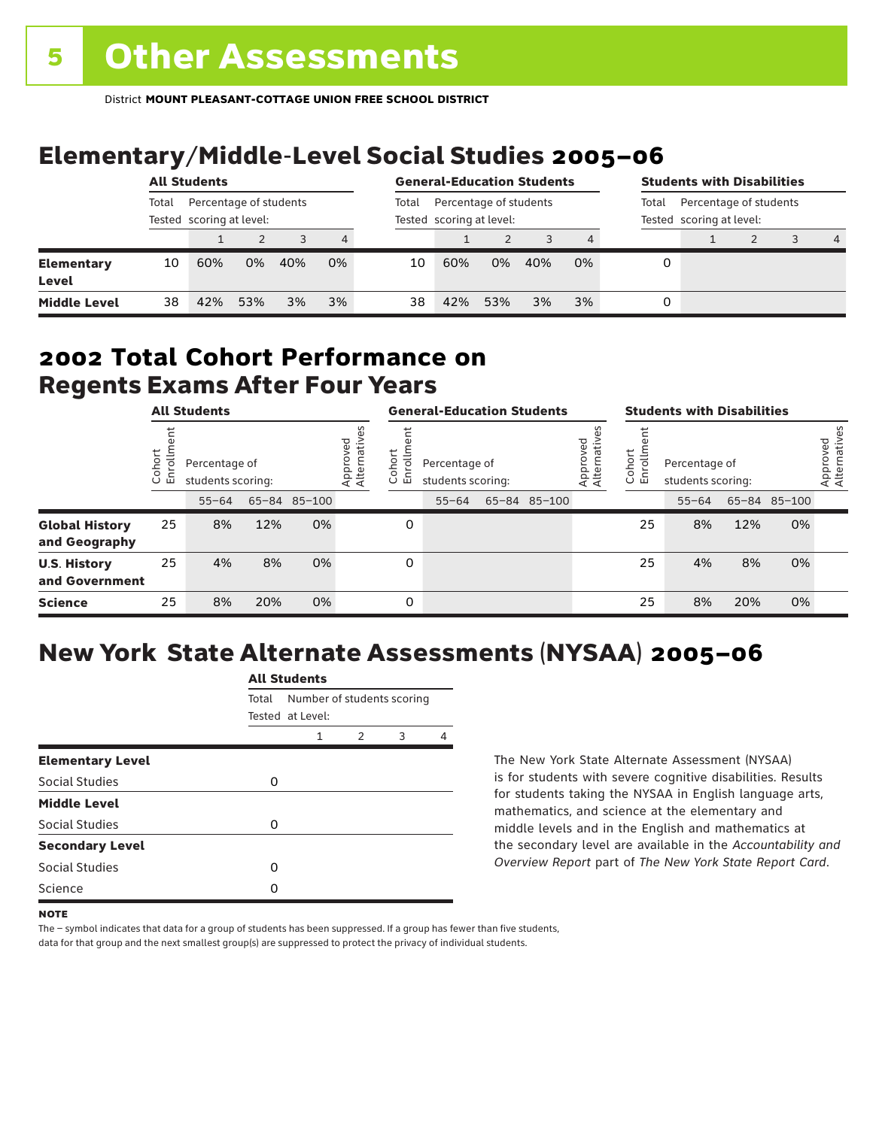# Elementary/Middle-Level Social Studies 2005–06

|                            | <b>All Students</b>                                         |     |     |       |                                                    | <b>General-Education Students</b> |     |     |       |                                                    | <b>Students with Disabilities</b> |  |  |   |                |
|----------------------------|-------------------------------------------------------------|-----|-----|-------|----------------------------------------------------|-----------------------------------|-----|-----|-------|----------------------------------------------------|-----------------------------------|--|--|---|----------------|
|                            | Percentage of students<br>Total<br>Tested scoring at level: |     |     | Total | Percentage of students<br>Tested scoring at level: |                                   |     |     | Total | Percentage of students<br>Tested scoring at level: |                                   |  |  |   |                |
|                            |                                                             |     |     |       | 4                                                  |                                   |     |     |       |                                                    |                                   |  |  | 3 | $\overline{4}$ |
| <b>Elementary</b><br>Level | 10                                                          | 60% | 0%  | 40%   | 0%                                                 | 10                                | 60% | 0%  | 40%   | 0%                                                 | 0                                 |  |  |   |                |
| <b>Middle Level</b>        | 38                                                          | 42% | 53% | 3%    | 3%                                                 | 38                                | 42% | 53% | 3%    | 3%                                                 | 0                                 |  |  |   |                |

#### Regents Exams After Four Years 2002 **Total Cohort Performance on**

|                                        |                       | <b>All Students</b>                |     |              |                         | <b>General-Education Students</b>         |                                    |  |              |                               | <b>Students with Disabilities</b> |                                    |     |              |                          |
|----------------------------------------|-----------------------|------------------------------------|-----|--------------|-------------------------|-------------------------------------------|------------------------------------|--|--------------|-------------------------------|-----------------------------------|------------------------------------|-----|--------------|--------------------------|
|                                        | ohort<br>ò,<br>靣<br>ပ | Percentage of<br>students scoring: |     |              | Approved<br>Alternative | hort<br>-<br>o,<br>$\circ$<br>문<br>$\cup$ | Percentage of<br>students scoring: |  |              | yed<br>Approvec<br>Alternativ | Cohort<br>rolln<br>문              | Percentage of<br>students scoring: |     |              | Approved<br>Alternatives |
|                                        |                       | $55 - 64$                          |     | 65-84 85-100 |                         |                                           | $55 - 64$                          |  | 65-84 85-100 |                               |                                   | $55 - 64$                          |     | 65-84 85-100 |                          |
| <b>Global History</b><br>and Geography | 25                    | 8%                                 | 12% | 0%           |                         | 0                                         |                                    |  |              |                               | 25                                | 8%                                 | 12% | 0%           |                          |
| <b>U.S. History</b><br>and Government  | 25                    | 4%                                 | 8%  | 0%           |                         | 0                                         |                                    |  |              |                               | 25                                | 4%                                 | 8%  | 0%           |                          |
| <b>Science</b>                         | 25                    | 8%                                 | 20% | 0%           |                         | 0                                         |                                    |  |              |                               | 25                                | 8%                                 | 20% | 0%           |                          |

# New York State Alternate Assessments (NYSAA) 2005–06

|                         | <b>All Students</b> |                                                |  |  |  |  |  |  |  |  |
|-------------------------|---------------------|------------------------------------------------|--|--|--|--|--|--|--|--|
|                         | Total               | Number of students scoring<br>Tested at Level: |  |  |  |  |  |  |  |  |
|                         |                     | $\mathcal{P}$<br>3<br>1                        |  |  |  |  |  |  |  |  |
| <b>Elementary Level</b> |                     |                                                |  |  |  |  |  |  |  |  |
| Social Studies          | 0                   |                                                |  |  |  |  |  |  |  |  |
| <b>Middle Level</b>     |                     |                                                |  |  |  |  |  |  |  |  |
| Social Studies          | O                   |                                                |  |  |  |  |  |  |  |  |
| <b>Secondary Level</b>  |                     |                                                |  |  |  |  |  |  |  |  |
| Social Studies          | O                   |                                                |  |  |  |  |  |  |  |  |
| Science                 | Ω                   |                                                |  |  |  |  |  |  |  |  |

The New York State Alternate Assessment (NYSAA) is for students with severe cognitive disabilities. Results for students taking the NYSAA in English language arts, mathematics, and science at the elementary and middle levels and in the English and mathematics at the secondary level are available in the *Accountability and Overview Report* part of *The New York State Report Card*.

The – symbol indicates that data for a group of students has been suppressed. If a group has fewer than five students,

**NOTE**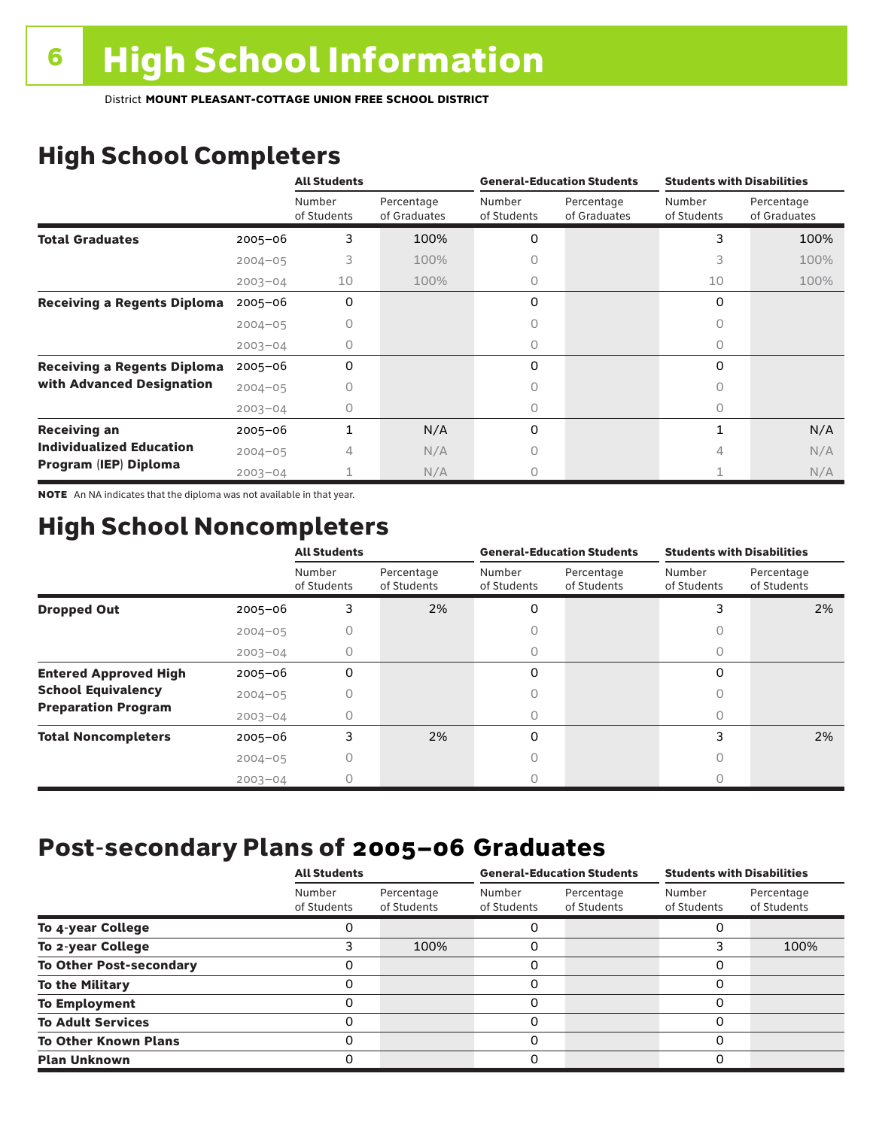# High School Completers

|                                    |             | <b>All Students</b>   |                            |                       | <b>General-Education Students</b> | <b>Students with Disabilities</b> |                            |  |
|------------------------------------|-------------|-----------------------|----------------------------|-----------------------|-----------------------------------|-----------------------------------|----------------------------|--|
|                                    |             | Number<br>of Students | Percentage<br>of Graduates | Number<br>of Students | Percentage<br>of Graduates        | Number<br>of Students             | Percentage<br>of Graduates |  |
| <b>Total Graduates</b>             | $2005 - 06$ | 3                     | 100%                       | 0                     |                                   | 3                                 | 100%                       |  |
|                                    | $2004 - 05$ | 3                     | 100%                       |                       |                                   | 3                                 | 100%                       |  |
|                                    | $2003 - 04$ | 10                    | 100%                       | 0                     |                                   | 10                                | 100%                       |  |
| <b>Receiving a Regents Diploma</b> | $2005 - 06$ | 0                     |                            | 0                     |                                   | 0                                 |                            |  |
|                                    | $2004 - 05$ |                       |                            | Ω                     |                                   | 0                                 |                            |  |
|                                    | $2003 - 04$ | 0                     |                            | 0                     |                                   | 0                                 |                            |  |
| <b>Receiving a Regents Diploma</b> | $2005 - 06$ | 0                     |                            | 0                     |                                   | 0                                 |                            |  |
| with Advanced Designation          | $2004 - 05$ |                       |                            |                       |                                   | 0                                 |                            |  |
|                                    | $2003 - 04$ | Ω                     |                            | 0                     |                                   | 0                                 |                            |  |
| <b>Receiving an</b>                | 2005-06     |                       | N/A                        | 0                     |                                   |                                   | N/A                        |  |
| <b>Individualized Education</b>    | $2004 - 05$ | 4                     | N/A                        | 0                     |                                   | 4                                 | N/A                        |  |
| Program (IEP) Diploma              | $2003 - 04$ |                       | N/A                        | Ω                     |                                   |                                   | N/A                        |  |

NOTE An NA indicates that the diploma was not available in that year.

## High School Noncompleters

|                              |             | <b>All Students</b>   |                           |                       | <b>General-Education Students</b> | <b>Students with Disabilities</b> |                           |  |
|------------------------------|-------------|-----------------------|---------------------------|-----------------------|-----------------------------------|-----------------------------------|---------------------------|--|
|                              |             | Number<br>of Students | Percentage<br>of Students | Number<br>of Students | Percentage<br>of Students         | Number<br>of Students             | Percentage<br>of Students |  |
| <b>Dropped Out</b>           | $2005 - 06$ | 3                     | 2%                        | 0                     |                                   |                                   | 2%                        |  |
|                              | $2004 - 05$ |                       |                           |                       |                                   | Ω                                 |                           |  |
|                              | $2003 - 04$ |                       |                           |                       |                                   |                                   |                           |  |
| <b>Entered Approved High</b> | $2005 - 06$ | 0                     |                           | 0                     |                                   | $\Omega$                          |                           |  |
| <b>School Equivalency</b>    | $2004 - 05$ |                       |                           |                       |                                   | Ω                                 |                           |  |
| <b>Preparation Program</b>   | $2003 - 04$ | 0                     |                           | 0                     |                                   | 0                                 |                           |  |
| <b>Total Noncompleters</b>   | $2005 - 06$ | 3                     | 2%                        | 0                     |                                   | 3                                 | 2%                        |  |
|                              | $2004 - 05$ | 0                     |                           | Ω                     |                                   | 0                                 |                           |  |
|                              | $2003 - 04$ |                       |                           |                       |                                   |                                   |                           |  |

### Post-secondary Plans of 2005–06 **Graduates**

|                                | <b>All Students</b>   |                           |                       | <b>General-Education Students</b> | <b>Students with Disabilities</b> |                           |  |
|--------------------------------|-----------------------|---------------------------|-----------------------|-----------------------------------|-----------------------------------|---------------------------|--|
|                                | Number<br>of Students | Percentage<br>of Students | Number<br>of Students | Percentage<br>of Students         | Number<br>of Students             | Percentage<br>of Students |  |
| To 4-year College              |                       |                           | ი                     |                                   |                                   |                           |  |
| To 2-year College              | 3                     | 100%                      | 0                     |                                   |                                   | 100%                      |  |
| <b>To Other Post-secondary</b> |                       |                           | 0                     |                                   | 0                                 |                           |  |
| <b>To the Military</b>         | 0                     |                           | 0                     |                                   | 0                                 |                           |  |
| <b>To Employment</b>           | O                     |                           | 0                     |                                   | 0                                 |                           |  |
| <b>To Adult Services</b>       |                       |                           | 0                     |                                   | O                                 |                           |  |
| <b>To Other Known Plans</b>    | O                     |                           | 0                     |                                   | 0                                 |                           |  |
| <b>Plan Unknown</b>            |                       |                           | 0                     |                                   | 0                                 |                           |  |